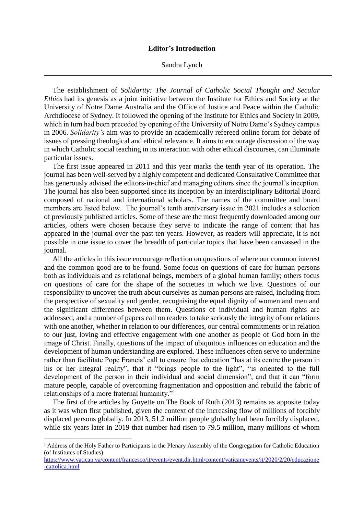## **Editor's Introduction**

Sandra Lynch

The establishment of *Solidarity: The Journal of Catholic Social Thought and Secular Ethics* had its genesis as a joint initiative between the Institute for Ethics and Society at the University of Notre Dame Australia and the Office of Justice and Peace within the Catholic Archdiocese of Sydney. It followed the opening of the Institute for Ethics and Society in 2009, which in turn had been preceded by opening of the University of Notre Dame's Sydney campus in 2006. *Solidarity's* aim was to provide an academically refereed online forum for debate of issues of pressing theological and ethical relevance. It aims to encourage discussion of the way in which Catholic social teaching in its interaction with other ethical discourses, can illuminate particular issues.

The first issue appeared in 2011 and this year marks the tenth year of its operation. The journal has been well-served by a highly competent and dedicated Consultative Committee that has generously advised the editors-in-chief and managing editors since the journal's inception. The journal has also been supported since its inception by an interdisciplinary Editorial Board composed of national and international scholars. The names of the committee and board members are listed below. The journal's tenth anniversary issue in 2021 includes a selection of previously published articles. Some of these are the most frequently downloaded among our articles, others were chosen because they serve to indicate the range of content that has appeared in the journal over the past ten years. However, as readers will appreciate, it is not possible in one issue to cover the breadth of particular topics that have been canvassed in the journal.

All the articles in this issue encourage reflection on questions of where our common interest and the common good are to be found. Some focus on questions of care for human persons both as individuals and as relational beings, members of a global human family; others focus on questions of care for the shape of the societies in which we live. Questions of our responsibility to uncover the truth about ourselves as human persons are raised, including from the perspective of sexuality and gender, recognising the equal dignity of women and men and the significant differences between them. Questions of individual and human rights are addressed, and a number of papers call on readers to take seriously the integrity of our relations with one another, whether in relation to our differences, our central commitments or in relation to our just, loving and effective engagement with one another as people of God born in the image of Christ. Finally, questions of the impact of ubiquitous influences on education and the development of human understanding are explored. These influences often serve to undermine rather than facilitate Pope Francis' call to ensure that education "has at its centre the person in his or her integral reality", that it "brings people to the light", "is oriented to the full development of the person in their individual and social dimension"; and that it can "form mature people, capable of overcoming fragmentation and opposition and rebuild the fabric of relationships of a more fraternal humanity."<sup>1</sup>

The first of the articles by Guyette on The Book of Ruth (2013) remains as apposite today as it was when first published, given the context of the increasing flow of millions of forcibly displaced persons globally. In 2013, 51.2 million people globally had been forcibly displaced, while six years later in 2019 that number had risen to 79.5 million, many millions of whom

**.** 

<sup>1</sup> Address of the Holy Father to Participants in the Plenary Assembly of the Congregation for Catholic Education (of Institutes of Studies):

[https://www.vatican.va/content/francesco/it/events/event.dir.html/content/vaticanevents/it/2020/2/20/educazione](https://www.vatican.va/content/francesco/it/events/event.dir.html/content/vaticanevents/it/2020/2/20/educazione-cattolica.html) [-cattolica.html](https://www.vatican.va/content/francesco/it/events/event.dir.html/content/vaticanevents/it/2020/2/20/educazione-cattolica.html)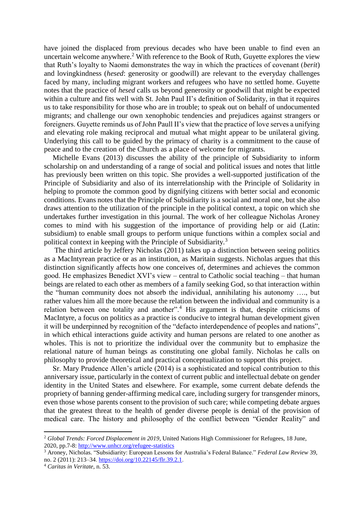have joined the displaced from previous decades who have been unable to find even an uncertain welcome anywhere.<sup>2</sup> With reference to the Book of Ruth, Guyette explores the view that Ruth's loyalty to Naomi demonstrates the way in which the practices of covenant (*berit*) and lovingkindness (*hesed*: generosity or goodwill) are relevant to the everyday challenges faced by many, including migrant workers and refugees who have no settled home. Guyette notes that the practice of *hesed* calls us beyond generosity or goodwill that might be expected within a culture and fits well with St. John Paul II's definition of Solidarity, in that it requires us to take responsibility for those who are in trouble; to speak out on behalf of undocumented migrants; and challenge our own xenophobic tendencies and prejudices against strangers or foreigners. Guyette reminds us of John Paull II's view that the practice of love serves a unifying and elevating role making reciprocal and mutual what might appear to be unilateral giving. Underlying this call to be guided by the primacy of charity is a commitment to the cause of peace and to the creation of the Church as a place of welcome for migrants.

Michelle Evans (2013) discusses the ability of the principle of Subsidiarity to inform scholarship on and understanding of a range of social and political issues and notes that little has previously been written on this topic. She provides a well-supported justification of the Principle of Subsidiarity and also of its interrelationship with the Principle of Solidarity in helping to promote the common good by dignifying citizens with better social and economic conditions. Evans notes that the Principle of Subsidiarity is a social and moral one, but she also draws attention to the utilization of the principle in the political context, a topic on which she undertakes further investigation in this journal. The work of her colleague Nicholas Aroney comes to mind with his suggestion of the importance of providing help or aid (Latin: subsidium) to enable small groups to perform unique functions within a complex social and political context in keeping with the Principle of Subsidiarity.<sup>3</sup>

The third article by Jeffery Nicholas (2011) takes up a distinction between seeing politics as a MacIntyrean practice or as an institution, as Maritain suggests. Nicholas argues that this distinction significantly affects how one conceives of, determines and achieves the common good. He emphasizes Benedict XVI's view – central to Catholic social teaching – that human beings are related to each other as members of a family seeking God, so that interaction within the "human community does not absorb the individual, annihilating his autonomy …., but rather values him all the more because the relation between the individual and community is a relation between one totality and another".<sup>4</sup> His argument is that, despite criticisms of MacIntyre, a focus on politics as a practice is conducive to integral human development given it will be underpinned by recognition of the "defacto interdependence of peoples and nations", in which ethical interactions guide activity and human persons are related to one another as wholes. This is not to prioritize the individual over the community but to emphasize the relational nature of human beings as constituting one global family. Nicholas he calls on philosophy to provide theoretical and practical conceptualization to support this project.

Sr. Mary Prudence Allen's article (2014) is a sophisticated and topical contribution to this anniversary issue, particularly in the context of current public and intellectual debate on gender identity in the United States and elsewhere. For example, some current debate defends the propriety of banning gender-affirming medical care, including surgery for transgender minors, even those whose parents consent to the provision of such care; while competing debate argues that the greatest threat to the health of gender diverse people is denial of the provision of medical care. The history and philosophy of the conflict between "Gender Reality" and

1

<sup>2</sup> *Global Trends: Forced Displacement in 2019*, United Nations High Commissioner for Refugees, 18 June, 2020, pp.7-8:<http://www.unhcr.org/refugee-statistics>

<sup>3</sup> Aroney, Nicholas. "Subsidiarity: European Lessons for Australia's Federal Balance." *Federal Law Review* 39, no. 2 (2011): 213–34[. https://doi.org/10.22145/flr.39.2.1.](https://doi.org/10.22145/flr.39.2.1)

<sup>4</sup> *Caritas in Veritate*, n. 53.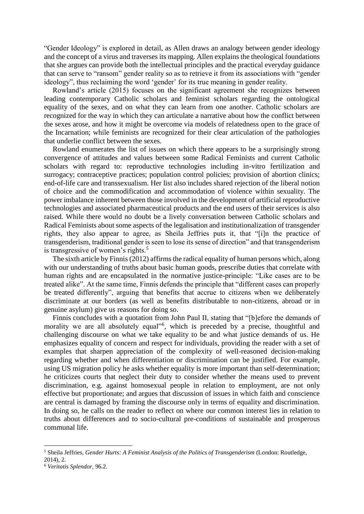"Gender Ideology" is explored in detail, as Allen draws an analogy between gender ideology and the concept of a virus and traverses its mapping. Allen explains the theological foundations that she argues can provide both the intellectual principles and the practical everyday guidance that can serve to "ransom" gender reality so as to retrieve it from its associations with "gender ideology", thus reclaiming the word 'gender' for its true meaning in gender reality.

Rowland's article (2015) focuses on the significant agreement she recognizes between leading contemporary Catholic scholars and feminist scholars regarding the ontological equality of the sexes, and on what they can learn from one another. Catholic scholars are recognized for the way in which they can articulate a narrative about how the conflict between the sexes arose, and how it might be overcome via models of relatedness open to the grace of the Incarnation; while feminists are recognized for their clear articulation of the pathologies that underlie conflict between the sexes.

Rowland enumerates the list of issues on which there appears to be a surprisingly strong convergence of attitudes and values between some Radical Feminists and current Catholic scholars with regard to: reproductive technologies including in-vitro fertilization and surrogacy; contraceptive practices; population control policies; provision of abortion clinics; end-of-life care and transsexualism. Her list also includes shared rejection of the liberal notion of choice and the commodification and accommodation of violence within sexuality. The power imbalance inherent between those involved in the development of artificial reproductive technologies and associated pharmaceutical products and the end users of their services is also raised. While there would no doubt be a lively conversation between Catholic scholars and Radical Feminists about some aspects of the legalisation and institutionalization of transgender rights, they also appear to agree, as Sheila Jeffries puts it, that "[i]n the practice of transgenderism, traditional gender is seen to lose its sense of direction" and that transgenderism is transgressive of women's rights.<sup>5</sup>

The sixth article by Finnis (2012) affirms the radical equality of human persons which, along with our understanding of truths about basic human goods, prescribe duties that correlate with human rights and are encapsulated in the normative justice-principle: "Like cases are to be treated alike". At the same time, Finnis defends the principle that "different cases can properly be treated differently", arguing that benefits that accrue to citizens when we deliberately discriminate at our borders (as well as benefits distributable to non-citizens, abroad or in genuine asylum) give us reasons for doing so.

Finnis concludes with a quotation from John Paul II, stating that "[b]efore the demands of morality we are all absolutely equal"<sup>6</sup>, which is preceded by a precise, thoughtful and challenging discourse on what we take equality to be and what justice demands of us. He emphasizes equality of concern and respect for individuals, providing the reader with a set of examples that sharpen appreciation of the complexity of well-reasoned decision-making regarding whether and when differentiation or discrimination can be justified. For example, using US migration policy he asks whether equality is more important than self-determination; he criticizes courts that neglect their duty to consider whether the means used to prevent discrimination, e.g. against homosexual people in relation to employment, are not only effective but proportionate; and argues that discussion of issues in which faith and conscience are central is damaged by framing the discourse only in terms of equality and discrimination. In doing so, he calls on the reader to reflect on where our common interest lies in relation to truths about differences and to socio-cultural pre-conditions of sustainable and prosperous communal life.

 $\overline{a}$ 

<sup>5</sup> Sheila Jeffries, *Gender Hurts: A Feminist Analysis of the Politics of Transgenderism* (London: Routledge, 2014), 2.

<sup>6</sup> *Veritatis Splendor,* 96.2.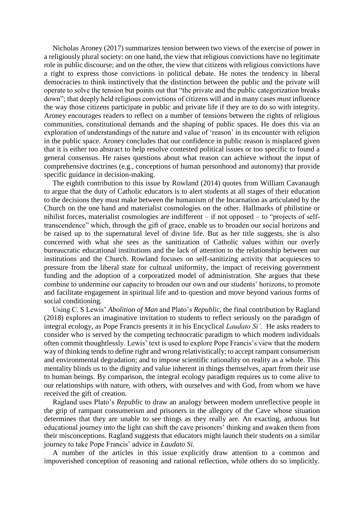Nicholas Aroney (2017) summarizes tension between two views of the exercise of power in a religiously plural society: on one hand, the view that religious convictions have no legitimate role in public discourse; and on the other, the view that citizens with religious convictions have a right to express those convictions in political debate. He notes the tendency in liberal democracies to think instinctively that the distinction between the public and the private will operate to solve the tension but points out that "the private and the public categorization breaks down"; that deeply held religious convictions of citizens will and in many cases *must* influence the way those citizens participate in public and private life if they are to do so with integrity. Aroney encourages readers to reflect on a number of tensions between the rights of religious communities, constitutional demands and the shaping of public spaces. He does this via an exploration of understandings of the nature and value of 'reason' in its encounter with religion in the public space. Aroney concludes that our confidence in public reason is misplaced given that it is either too abstract to help resolve contested political issues or too specific to found a general consensus. He raises questions about what reason can achieve without the input of comprehensive doctrines (e.g., conceptions of human personhood and autonomy) that provide specific guidance in decision-making.

The eighth contribution to this issue by Rowland (2014) quotes from William Cavanaugh to argue that the duty of Catholic educators is to alert students at all stages of their education to the decisions they must make between the humanism of the Incarnation as articulated by the Church on the one hand and materialist cosmologies on the other. Hallmarks of philistine or nihilist forces, materialist cosmologies are indifferent – if not opposed – to "projects of selftranscendence" which, through the gift of grace, enable us to broaden our social horizons and be raised up to the supernatural level of divine life. But as her title suggests, she is also concerned with what she sees as the sanitization of Catholic values within our overly bureaucratic educational institutions and the lack of attention to the relationship between our institutions and the Church. Rowland focuses on self-sanitizing activity that acquiesces to pressure from the liberal state for cultural uniformity, the impact of receiving government funding and the adoption of a corporatized model of administration. She argues that these combine to undermine our capacity to broaden our own and our students' horizons, to promote and facilitate engagement in spiritual life and to question and move beyond various forms of social conditioning.

Using C. S Lewis' *Abolition of Man* and Plato's *Republic*, the final contribution by Ragland (2018) explores an imaginative invitation to students to reflect seriously on the paradigm of integral ecology, as Pope Francis presents it in his Encyclical *Laudato Si'.* He asks readers to consider who is served by the competing technocratic paradigm to which modern individuals often commit thoughtlessly. Lewis' text is used to explore Pope Francis's view that the modern way of thinking tends to define right and wrong relativistically; to accept rampant consumerism and environmental degradation; and to impose scientific rationality on reality as a whole. This mentality blinds us to the dignity and value inherent in things themselves, apart from their use to human beings. By comparison, the integral ecology paradigm requires us to come alive to our relationships with nature, with others, with ourselves and with God, from whom we have received the gift of creation.

Ragland uses Plato's *Republi*c to draw an analogy between modern unreflective people in the grip of rampant consumerism and prisoners in the allegory of the Cave whose situation determines that they are unable to see things as they really are. An exacting, arduous but educational journey into the light can shift the cave prisoners' thinking and awaken them from their misconceptions. Ragland suggests that educators might launch their students on a similar journey to take Pope Francis' advice in *Laudato Si.*

A number of the articles in this issue explicitly draw attention to a common and impoverished conception of reasoning and rational reflection, while others do so implicitly.